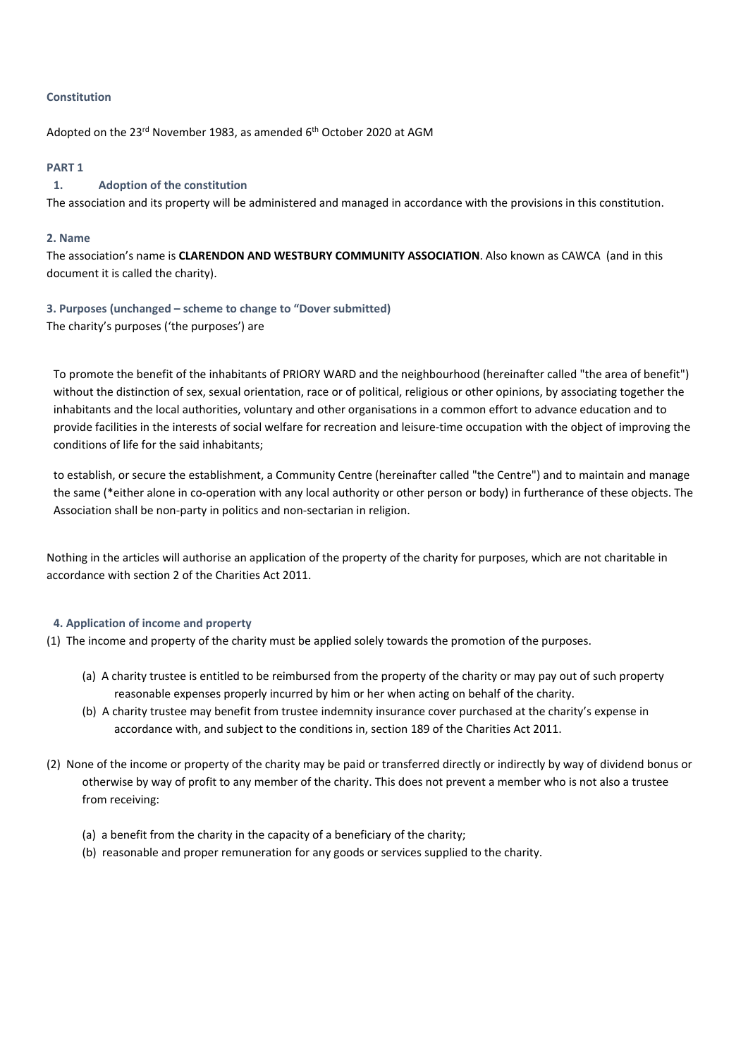### **Constitution**

Adopted on the 23<sup>rd</sup> November 1983, as amended 6<sup>th</sup> October 2020 at AGM

#### **PART 1**

## **1. Adoption of the constitution**

The association and its property will be administered and managed in accordance with the provisions in this constitution.

#### **2. Name**

The association's name is **CLARENDON AND WESTBURY COMMUNITY ASSOCIATION**. Also known as CAWCA (and in this document it is called the charity).

**3. Purposes (unchanged – scheme to change to "Dover submitted)** The charity's purposes ('the purposes') are

To promote the benefit of the inhabitants of PRIORY WARD and the neighbourhood (hereinafter called "the area of benefit") without the distinction of sex, sexual orientation, race or of political, religious or other opinions, by associating together the inhabitants and the local authorities, voluntary and other organisations in a common effort to advance education and to provide facilities in the interests of social welfare for recreation and leisure-time occupation with the object of improving the conditions of life for the said inhabitants;

to establish, or secure the establishment, a Community Centre (hereinafter called "the Centre") and to maintain and manage the same (\*either alone in co-operation with any local authority or other person or body) in furtherance of these objects. The Association shall be non-party in politics and non-sectarian in religion.

Nothing in the articles will authorise an application of the property of the charity for purposes, which are not charitable in accordance with section 2 of the Charities Act 2011.

## **4. Application of income and property**

- (1) The income and property of the charity must be applied solely towards the promotion of the purposes.
	- (a) A charity trustee is entitled to be reimbursed from the property of the charity or may pay out of such property reasonable expenses properly incurred by him or her when acting on behalf of the charity.
	- (b) A charity trustee may benefit from trustee indemnity insurance cover purchased at the charity's expense in accordance with, and subject to the conditions in, section 189 of the Charities Act 2011.
- (2) None of the income or property of the charity may be paid or transferred directly or indirectly by way of dividend bonus or otherwise by way of profit to any member of the charity. This does not prevent a member who is not also a trustee from receiving:
	- (a) a benefit from the charity in the capacity of a beneficiary of the charity;
	- (b) reasonable and proper remuneration for any goods or services supplied to the charity.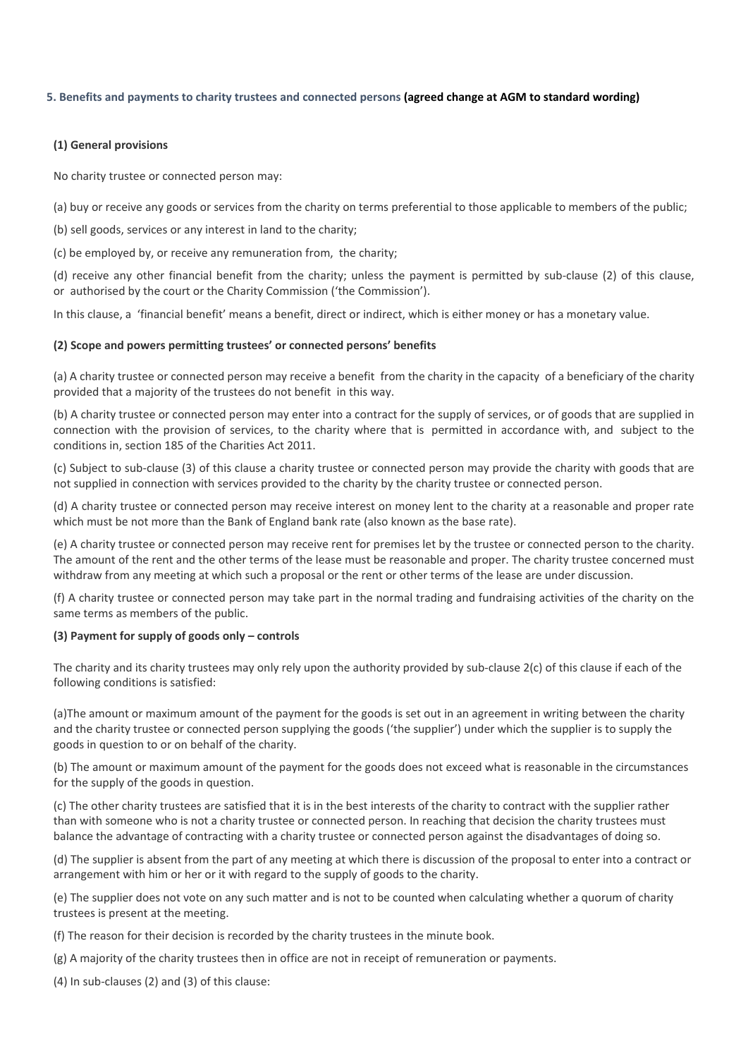#### **5. Benefits and payments to charity trustees and connected persons (agreed change at AGM to standard wording)**

### **(1) General provisions**

No charity trustee or connected person may:

(a) buy or receive any goods or services from the charity on terms preferential to those applicable to members of the public;

(b) sell goods, services or any interest in land to the charity;

(c) be employed by, or receive any remuneration from, the charity;

(d) receive any other financial benefit from the charity; unless the payment is permitted by sub-clause (2) of this clause, or authorised by the court or the Charity Commission ('the Commission').

In this clause, a 'financial benefit' means a benefit, direct or indirect, which is either money or has a monetary value.

#### **(2) Scope and powers permitting trustees' or connected persons' benefits**

(a) A charity trustee or connected person may receive a benefit from the charity in the capacity of a beneficiary of the charity provided that a majority of the trustees do not benefit in this way.

(b) A charity trustee or connected person may enter into a contract for the supply of services, or of goods that are supplied in connection with the provision of services, to the charity where that is permitted in accordance with, and subject to the conditions in, section 185 of the Charities Act 2011.

(c) Subject to sub-clause (3) of this clause a charity trustee or connected person may provide the charity with goods that are not supplied in connection with services provided to the charity by the charity trustee or connected person.

(d) A charity trustee or connected person may receive interest on money lent to the charity at a reasonable and proper rate which must be not more than the Bank of England bank rate (also known as the base rate).

(e) A charity trustee or connected person may receive rent for premises let by the trustee or connected person to the charity. The amount of the rent and the other terms of the lease must be reasonable and proper. The charity trustee concerned must withdraw from any meeting at which such a proposal or the rent or other terms of the lease are under discussion.

(f) A charity trustee or connected person may take part in the normal trading and fundraising activities of the charity on the same terms as members of the public.

#### **(3) Payment for supply of goods only – controls**

The charity and its charity trustees may only rely upon the authority provided by sub-clause 2(c) of this clause if each of the following conditions is satisfied:

(a)The amount or maximum amount of the payment for the goods is set out in an agreement in writing between the charity and the charity trustee or connected person supplying the goods ('the supplier') under which the supplier is to supply the goods in question to or on behalf of the charity.

(b) The amount or maximum amount of the payment for the goods does not exceed what is reasonable in the circumstances for the supply of the goods in question.

(c) The other charity trustees are satisfied that it is in the best interests of the charity to contract with the supplier rather than with someone who is not a charity trustee or connected person. In reaching that decision the charity trustees must balance the advantage of contracting with a charity trustee or connected person against the disadvantages of doing so.

(d) The supplier is absent from the part of any meeting at which there is discussion of the proposal to enter into a contract or arrangement with him or her or it with regard to the supply of goods to the charity.

(e) The supplier does not vote on any such matter and is not to be counted when calculating whether a quorum of charity trustees is present at the meeting.

(f) The reason for their decision is recorded by the charity trustees in the minute book.

(g) A majority of the charity trustees then in office are not in receipt of remuneration or payments.

(4) In sub-clauses (2) and (3) of this clause: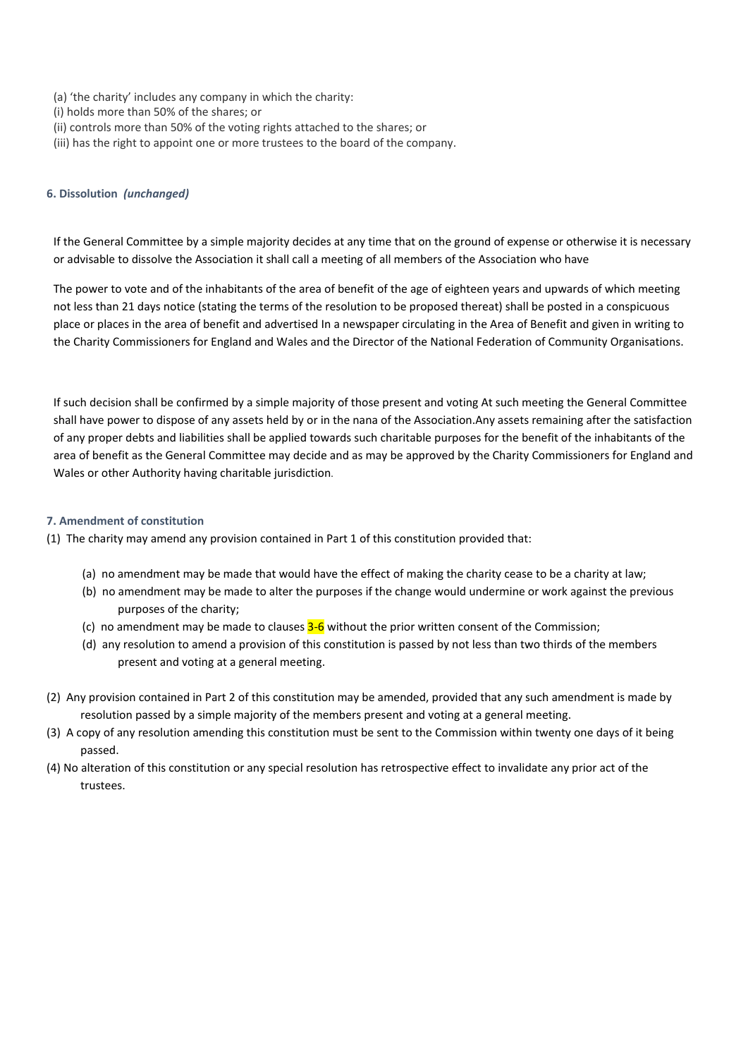- (a) 'the charity' includes any company in which the charity:
- (i) holds more than 50% of the shares; or
- (ii) controls more than 50% of the voting rights attached to the shares; or
- (iii) has the right to appoint one or more trustees to the board of the company.

#### **6. Dissolution** *(unchanged)*

If the General Committee by a simple majority decides at any time that on the ground of expense or otherwise it is necessary or advisable to dissolve the Association it shall call a meeting of all members of the Association who have

The power to vote and of the inhabitants of the area of benefit of the age of eighteen years and upwards of which meeting not less than 21 days notice (stating the terms of the resolution to be proposed thereat) shall be posted in a conspicuous place or places in the area of benefit and advertised In a newspaper circulating in the Area of Benefit and given in writing to the Charity Commissioners for England and Wales and the Director of the National Federation of Community Organisations.

If such decision shall be confirmed by a simple majority of those present and voting At such meeting the General Committee shall have power to dispose of any assets held by or in the nana of the Association.Any assets remaining after the satisfaction of any proper debts and liabilities shall be applied towards such charitable purposes for the benefit of the inhabitants of the area of benefit as the General Committee may decide and as may be approved by the Charity Commissioners for England and Wales or other Authority having charitable jurisdiction.

#### **7. Amendment of constitution**

- (1) The charity may amend any provision contained in Part 1 of this constitution provided that:
	- (a) no amendment may be made that would have the effect of making the charity cease to be a charity at law;
	- (b) no amendment may be made to alter the purposes if the change would undermine or work against the previous purposes of the charity;
	- (c) no amendment may be made to clauses  $3-6$  without the prior written consent of the Commission;
	- (d) any resolution to amend a provision of this constitution is passed by not less than two thirds of the members present and voting at a general meeting.
- (2) Any provision contained in Part 2 of this constitution may be amended, provided that any such amendment is made by resolution passed by a simple majority of the members present and voting at a general meeting.
- (3) A copy of any resolution amending this constitution must be sent to the Commission within twenty one days of it being passed.
- (4) No alteration of this constitution or any special resolution has retrospective effect to invalidate any prior act of the trustees.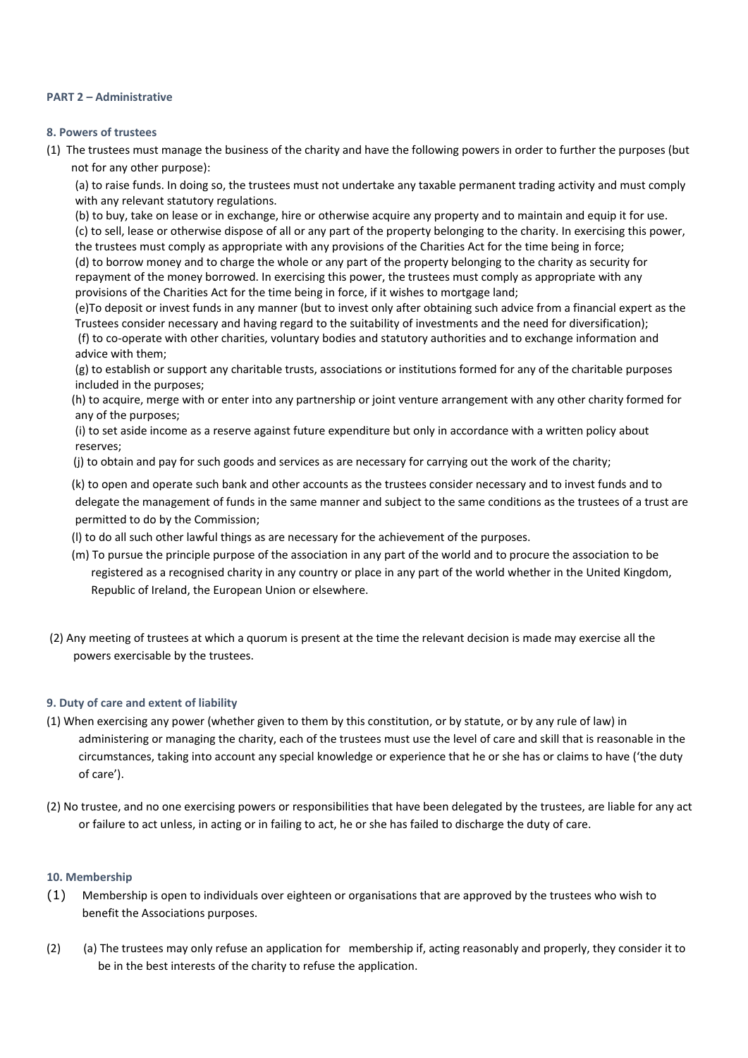### **PART 2 – Administrative**

### **8. Powers of trustees**

(1) The trustees must manage the business of the charity and have the following powers in order to further the purposes (but not for any other purpose):

(a) to raise funds. In doing so, the trustees must not undertake any taxable permanent trading activity and must comply with any relevant statutory regulations.

(b) to buy, take on lease or in exchange, hire or otherwise acquire any property and to maintain and equip it for use. (c) to sell, lease or otherwise dispose of all or any part of the property belonging to the charity. In exercising this power, the trustees must comply as appropriate with any provisions of the Charities Act for the time being in force; (d) to borrow money and to charge the whole or any part of the property belonging to the charity as security for repayment of the money borrowed. In exercising this power, the trustees must comply as appropriate with any provisions of the Charities Act for the time being in force, if it wishes to mortgage land;

(e)To deposit or invest funds in any manner (but to invest only after obtaining such advice from a financial expert as the Trustees consider necessary and having regard to the suitability of investments and the need for diversification);

(f) to co-operate with other charities, voluntary bodies and statutory authorities and to exchange information and advice with them;

(g) to establish or support any charitable trusts, associations or institutions formed for any of the charitable purposes included in the purposes;

(h) to acquire, merge with or enter into any partnership or joint venture arrangement with any other charity formed for any of the purposes;

(i) to set aside income as a reserve against future expenditure but only in accordance with a written policy about reserves;

(j) to obtain and pay for such goods and services as are necessary for carrying out the work of the charity;

(k) to open and operate such bank and other accounts as the trustees consider necessary and to invest funds and to delegate the management of funds in the same manner and subject to the same conditions as the trustees of a trust are permitted to do by the Commission;

(l) to do all such other lawful things as are necessary for the achievement of the purposes.

- (m) To pursue the principle purpose of the association in any part of the world and to procure the association to be registered as a recognised charity in any country or place in any part of the world whether in the United Kingdom, Republic of Ireland, the European Union or elsewhere.
- (2) Any meeting of trustees at which a quorum is present at the time the relevant decision is made may exercise all the powers exercisable by the trustees.

## **9. Duty of care and extent of liability**

- (1) When exercising any power (whether given to them by this constitution, or by statute, or by any rule of law) in administering or managing the charity, each of the trustees must use the level of care and skill that is reasonable in the circumstances, taking into account any special knowledge or experience that he or she has or claims to have ('the duty of care').
- (2) No trustee, and no one exercising powers or responsibilities that have been delegated by the trustees, are liable for any act or failure to act unless, in acting or in failing to act, he or she has failed to discharge the duty of care.

## **10. Membership**

- (1) Membership is open to individuals over eighteen or organisations that are approved by the trustees who wish to benefit the Associations purposes.
- (2) (a) The trustees may only refuse an application for membership if, acting reasonably and properly, they consider it to be in the best interests of the charity to refuse the application.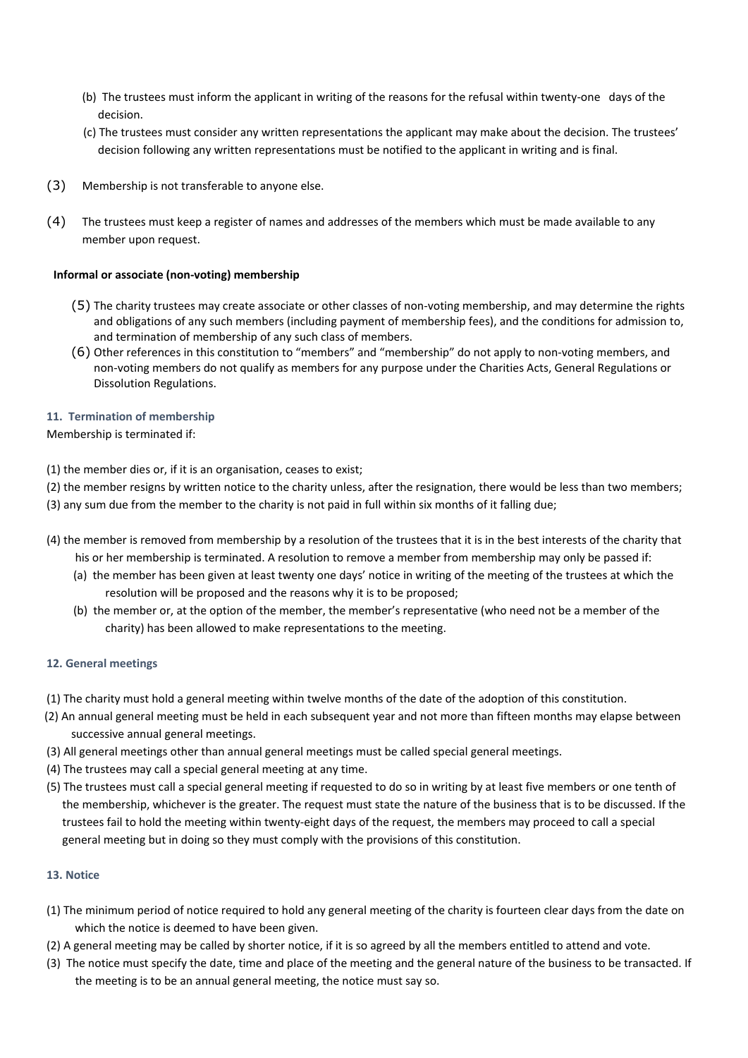- (b) The trustees must inform the applicant in writing of the reasons for the refusal within twenty-one days of the decision.
- (c) The trustees must consider any written representations the applicant may make about the decision. The trustees' decision following any written representations must be notified to the applicant in writing and is final.
- (3) Membership is not transferable to anyone else.
- (4) The trustees must keep a register of names and addresses of the members which must be made available to any member upon request.

## **Informal or associate (non-voting) membership**

- (5) The charity trustees may create associate or other classes of non-voting membership, and may determine the rights and obligations of any such members (including payment of membership fees), and the conditions for admission to, and termination of membership of any such class of members.
- (6) Other references in this constitution to "members" and "membership" do not apply to non-voting members, and non-voting members do not qualify as members for any purpose under the Charities Acts, General Regulations or Dissolution Regulations.

## **11. Termination of membership**

## Membership is terminated if:

(1) the member dies or, if it is an organisation, ceases to exist;

(2) the member resigns by written notice to the charity unless, after the resignation, there would be less than two members;

- (3) any sum due from the member to the charity is not paid in full within six months of it falling due;
- (4) the member is removed from membership by a resolution of the trustees that it is in the best interests of the charity that his or her membership is terminated. A resolution to remove a member from membership may only be passed if:
	- (a) the member has been given at least twenty one days' notice in writing of the meeting of the trustees at which the resolution will be proposed and the reasons why it is to be proposed;
	- (b) the member or, at the option of the member, the member's representative (who need not be a member of the charity) has been allowed to make representations to the meeting.

## **12. General meetings**

- (1) The charity must hold a general meeting within twelve months of the date of the adoption of this constitution.
- (2) An annual general meeting must be held in each subsequent year and not more than fifteen months may elapse between successive annual general meetings.
- (3) All general meetings other than annual general meetings must be called special general meetings.
- (4) The trustees may call a special general meeting at any time.
- (5) The trustees must call a special general meeting if requested to do so in writing by at least five members or one tenth of the membership, whichever is the greater. The request must state the nature of the business that is to be discussed. If the trustees fail to hold the meeting within twenty-eight days of the request, the members may proceed to call a special general meeting but in doing so they must comply with the provisions of this constitution.

# **13. Notice**

- (1) The minimum period of notice required to hold any general meeting of the charity is fourteen clear days from the date on which the notice is deemed to have been given.
- (2) A general meeting may be called by shorter notice, if it is so agreed by all the members entitled to attend and vote.
- (3) The notice must specify the date, time and place of the meeting and the general nature of the business to be transacted. If the meeting is to be an annual general meeting, the notice must say so.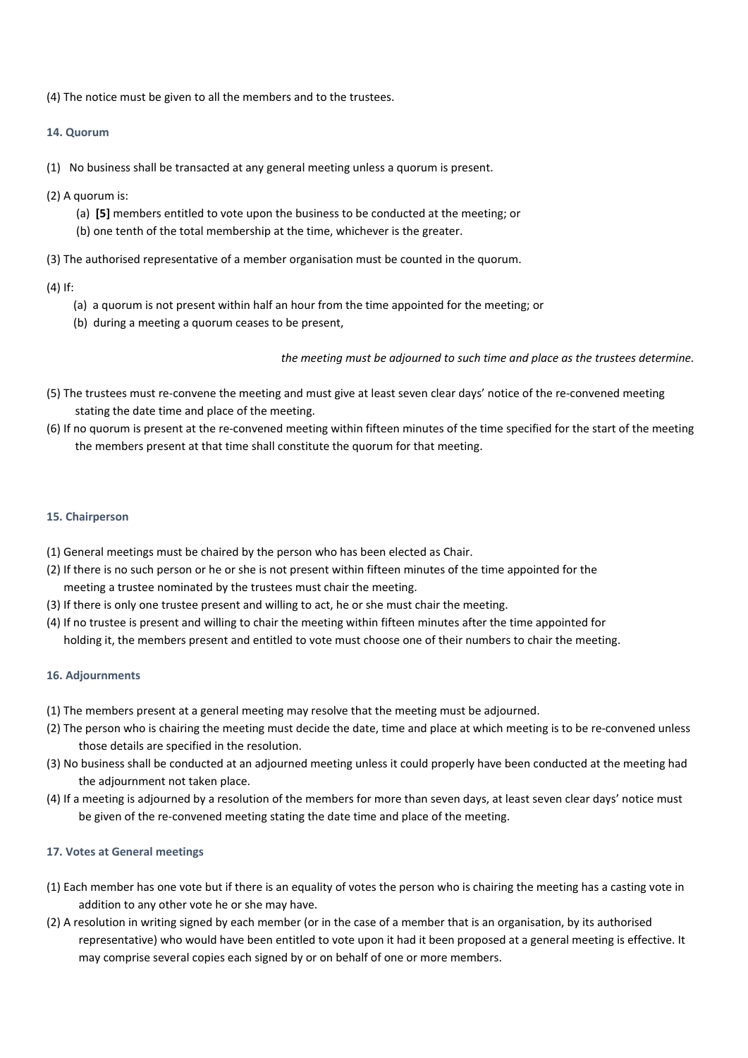(4) The notice must be given to all the members and to the trustees.

# **14. Quorum**

- (1) No business shall be transacted at any general meeting unless a quorum is present.
- (2) A quorum is:
	- (a) **[5]** members entitled to vote upon the business to be conducted at the meeting; or
	- (b) one tenth of the total membership at the time, whichever is the greater.
- (3) The authorised representative of a member organisation must be counted in the quorum.

## (4) If:

- (a) a quorum is not present within half an hour from the time appointed for the meeting; or
- (b) during a meeting a quorum ceases to be present,

*the meeting must be adjourned to such time and place as the trustees determine.* 

- (5) The trustees must re-convene the meeting and must give at least seven clear days' notice of the re-convened meeting stating the date time and place of the meeting.
- (6) If no quorum is present at the re-convened meeting within fifteen minutes of the time specified for the start of the meeting the members present at that time shall constitute the quorum for that meeting.

## **15. Chairperson**

- (1) General meetings must be chaired by the person who has been elected as Chair.
- (2) If there is no such person or he or she is not present within fifteen minutes of the time appointed for the meeting a trustee nominated by the trustees must chair the meeting.
- (3) If there is only one trustee present and willing to act, he or she must chair the meeting.
- (4) If no trustee is present and willing to chair the meeting within fifteen minutes after the time appointed for holding it, the members present and entitled to vote must choose one of their numbers to chair the meeting.

## **16. Adjournments**

- (1) The members present at a general meeting may resolve that the meeting must be adjourned.
- (2) The person who is chairing the meeting must decide the date, time and place at which meeting is to be re-convened unless those details are specified in the resolution.
- (3) No business shall be conducted at an adjourned meeting unless it could properly have been conducted at the meeting had the adjournment not taken place.
- (4) If a meeting is adjourned by a resolution of the members for more than seven days, at least seven clear days' notice must be given of the re-convened meeting stating the date time and place of the meeting.

# **17. Votes at General meetings**

- (1) Each member has one vote but if there is an equality of votes the person who is chairing the meeting has a casting vote in addition to any other vote he or she may have.
- (2) A resolution in writing signed by each member (or in the case of a member that is an organisation, by its authorised representative) who would have been entitled to vote upon it had it been proposed at a general meeting is effective. It may comprise several copies each signed by or on behalf of one or more members.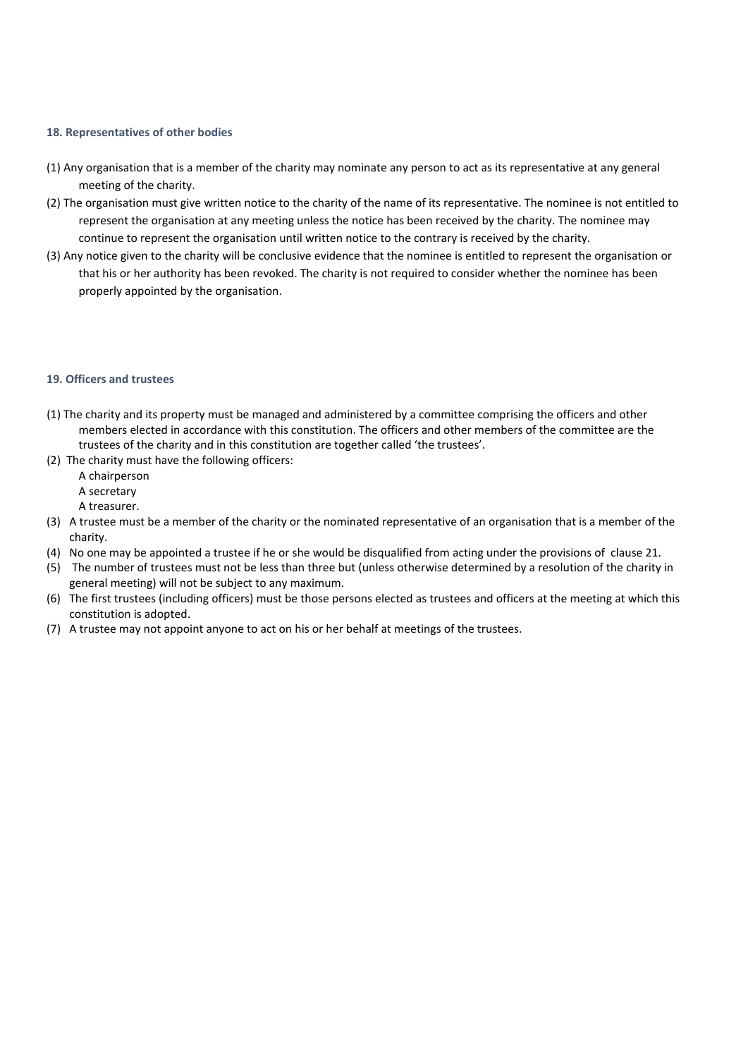#### **18. Representatives of other bodies**

- (1) Any organisation that is a member of the charity may nominate any person to act as its representative at any general meeting of the charity.
- (2) The organisation must give written notice to the charity of the name of its representative. The nominee is not entitled to represent the organisation at any meeting unless the notice has been received by the charity. The nominee may continue to represent the organisation until written notice to the contrary is received by the charity.
- (3) Any notice given to the charity will be conclusive evidence that the nominee is entitled to represent the organisation or that his or her authority has been revoked. The charity is not required to consider whether the nominee has been properly appointed by the organisation.

#### **19. Officers and trustees**

- (1) The charity and its property must be managed and administered by a committee comprising the officers and other members elected in accordance with this constitution. The officers and other members of the committee are the trustees of the charity and in this constitution are together called 'the trustees'.
- (2) The charity must have the following officers:
	- A chairperson
	- A secretary
	- A treasurer.
- (3) A trustee must be a member of the charity or the nominated representative of an organisation that is a member of the charity.
- (4) No one may be appointed a trustee if he or she would be disqualified from acting under the provisions of clause 21.
- (5) The number of trustees must not be less than three but (unless otherwise determined by a resolution of the charity in general meeting) will not be subject to any maximum.
- (6) The first trustees (including officers) must be those persons elected as trustees and officers at the meeting at which this constitution is adopted.
- (7) A trustee may not appoint anyone to act on his or her behalf at meetings of the trustees.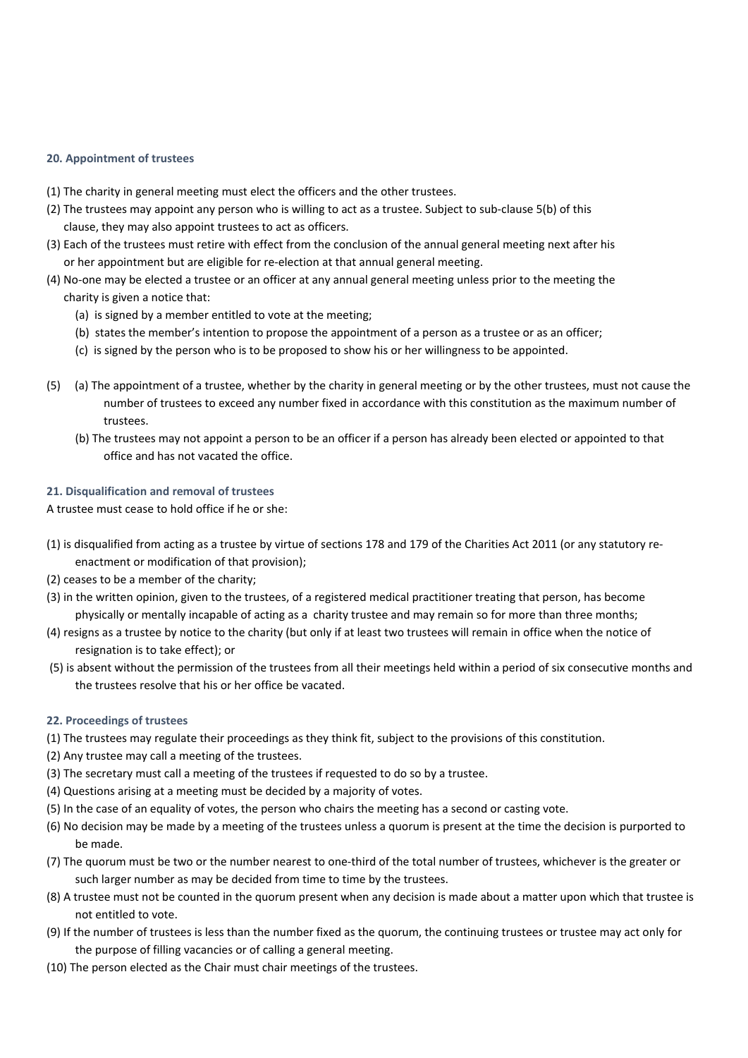## **20. Appointment of trustees**

- (1) The charity in general meeting must elect the officers and the other trustees.
- (2) The trustees may appoint any person who is willing to act as a trustee. Subject to sub-clause 5(b) of this clause, they may also appoint trustees to act as officers.
- (3) Each of the trustees must retire with effect from the conclusion of the annual general meeting next after his or her appointment but are eligible for re-election at that annual general meeting.
- (4) No-one may be elected a trustee or an officer at any annual general meeting unless prior to the meeting the charity is given a notice that:
	- (a) is signed by a member entitled to vote at the meeting;
	- (b) states the member's intention to propose the appointment of a person as a trustee or as an officer;
	- (c) is signed by the person who is to be proposed to show his or her willingness to be appointed.
- (5) (a) The appointment of a trustee, whether by the charity in general meeting or by the other trustees, must not cause the number of trustees to exceed any number fixed in accordance with this constitution as the maximum number of trustees.
	- (b) The trustees may not appoint a person to be an officer if a person has already been elected or appointed to that office and has not vacated the office.

## **21. Disqualification and removal of trustees**

A trustee must cease to hold office if he or she:

- (1) is disqualified from acting as a trustee by virtue of sections 178 and 179 of the Charities Act 2011 (or any statutory reenactment or modification of that provision);
- (2) ceases to be a member of the charity;
- (3) in the written opinion, given to the trustees, of a registered medical practitioner treating that person, has become physically or mentally incapable of acting as a charity trustee and may remain so for more than three months;
- (4) resigns as a trustee by notice to the charity (but only if at least two trustees will remain in office when the notice of resignation is to take effect); or
- (5) is absent without the permission of the trustees from all their meetings held within a period of six consecutive months and the trustees resolve that his or her office be vacated.

## **22. Proceedings of trustees**

- (1) The trustees may regulate their proceedings as they think fit, subject to the provisions of this constitution.
- (2) Any trustee may call a meeting of the trustees.
- (3) The secretary must call a meeting of the trustees if requested to do so by a trustee.
- (4) Questions arising at a meeting must be decided by a majority of votes.
- (5) In the case of an equality of votes, the person who chairs the meeting has a second or casting vote.
- (6) No decision may be made by a meeting of the trustees unless a quorum is present at the time the decision is purported to be made.
- (7) The quorum must be two or the number nearest to one-third of the total number of trustees, whichever is the greater or such larger number as may be decided from time to time by the trustees.
- (8) A trustee must not be counted in the quorum present when any decision is made about a matter upon which that trustee is not entitled to vote.
- (9) If the number of trustees is less than the number fixed as the quorum, the continuing trustees or trustee may act only for the purpose of filling vacancies or of calling a general meeting.
- (10) The person elected as the Chair must chair meetings of the trustees.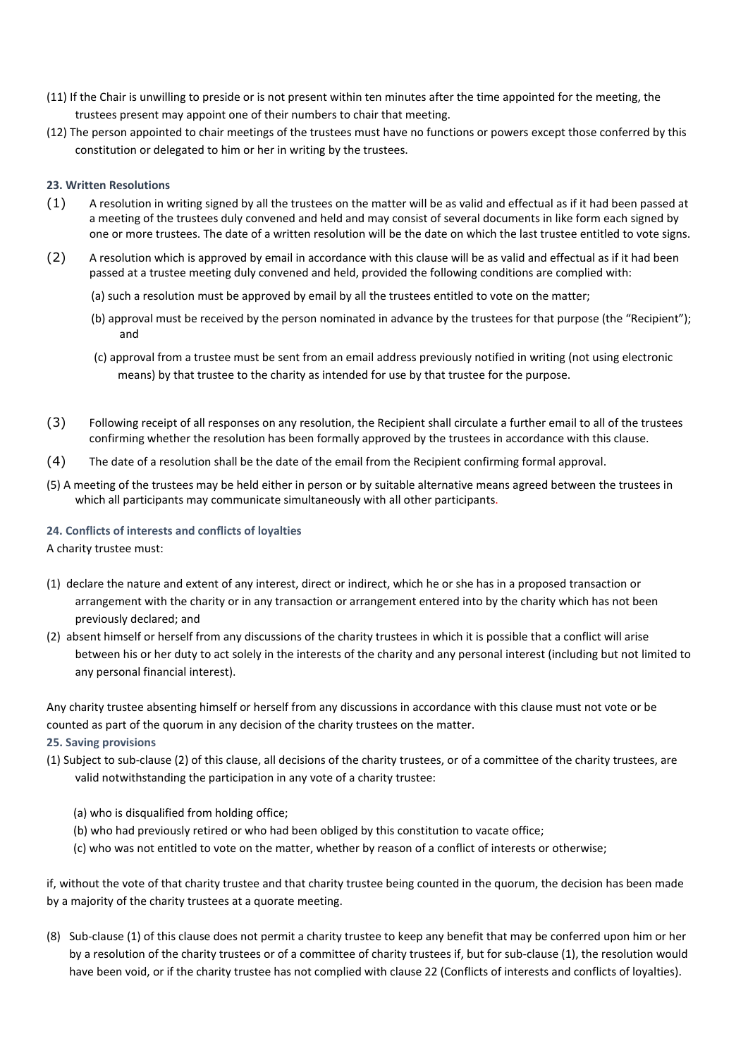- (11) If the Chair is unwilling to preside or is not present within ten minutes after the time appointed for the meeting, the trustees present may appoint one of their numbers to chair that meeting.
- (12) The person appointed to chair meetings of the trustees must have no functions or powers except those conferred by this constitution or delegated to him or her in writing by the trustees.

## **23. Written Resolutions**

- $(1)$  A resolution in writing signed by all the trustees on the matter will be as valid and effectual as if it had been passed at a meeting of the trustees duly convened and held and may consist of several documents in like form each signed by one or more trustees. The date of a written resolution will be the date on which the last trustee entitled to vote signs.
- (2) A resolution which is approved by email in accordance with this clause will be as valid and effectual as if it had been passed at a trustee meeting duly convened and held, provided the following conditions are complied with:
	- (a) such a resolution must be approved by email by all the trustees entitled to vote on the matter;
	- (b) approval must be received by the person nominated in advance by the trustees for that purpose (the "Recipient"); and
	- (c) approval from a trustee must be sent from an email address previously notified in writing (not using electronic means) by that trustee to the charity as intended for use by that trustee for the purpose.
- (3) Following receipt of all responses on any resolution, the Recipient shall circulate a further email to all of the trustees confirming whether the resolution has been formally approved by the trustees in accordance with this clause.
- (4) The date of a resolution shall be the date of the email from the Recipient confirming formal approval.
- (5) A meeting of the trustees may be held either in person or by suitable alternative means agreed between the trustees in which all participants may communicate simultaneously with all other participants.

## **24. Conflicts of interests and conflicts of loyalties**

A charity trustee must:

- (1) declare the nature and extent of any interest, direct or indirect, which he or she has in a proposed transaction or arrangement with the charity or in any transaction or arrangement entered into by the charity which has not been previously declared; and
- (2) absent himself or herself from any discussions of the charity trustees in which it is possible that a conflict will arise between his or her duty to act solely in the interests of the charity and any personal interest (including but not limited to any personal financial interest).

Any charity trustee absenting himself or herself from any discussions in accordance with this clause must not vote or be counted as part of the quorum in any decision of the charity trustees on the matter.

# **25. Saving provisions**

(1) Subject to sub-clause (2) of this clause, all decisions of the charity trustees, or of a committee of the charity trustees, are valid notwithstanding the participation in any vote of a charity trustee:

(a) who is disqualified from holding office;

- (b) who had previously retired or who had been obliged by this constitution to vacate office;
- (c) who was not entitled to vote on the matter, whether by reason of a conflict of interests or otherwise;

if, without the vote of that charity trustee and that charity trustee being counted in the quorum, the decision has been made by a majority of the charity trustees at a quorate meeting.

(8) Sub-clause (1) of this clause does not permit a charity trustee to keep any benefit that may be conferred upon him or her by a resolution of the charity trustees or of a committee of charity trustees if, but for sub-clause (1), the resolution would have been void, or if the charity trustee has not complied with clause 22 (Conflicts of interests and conflicts of loyalties).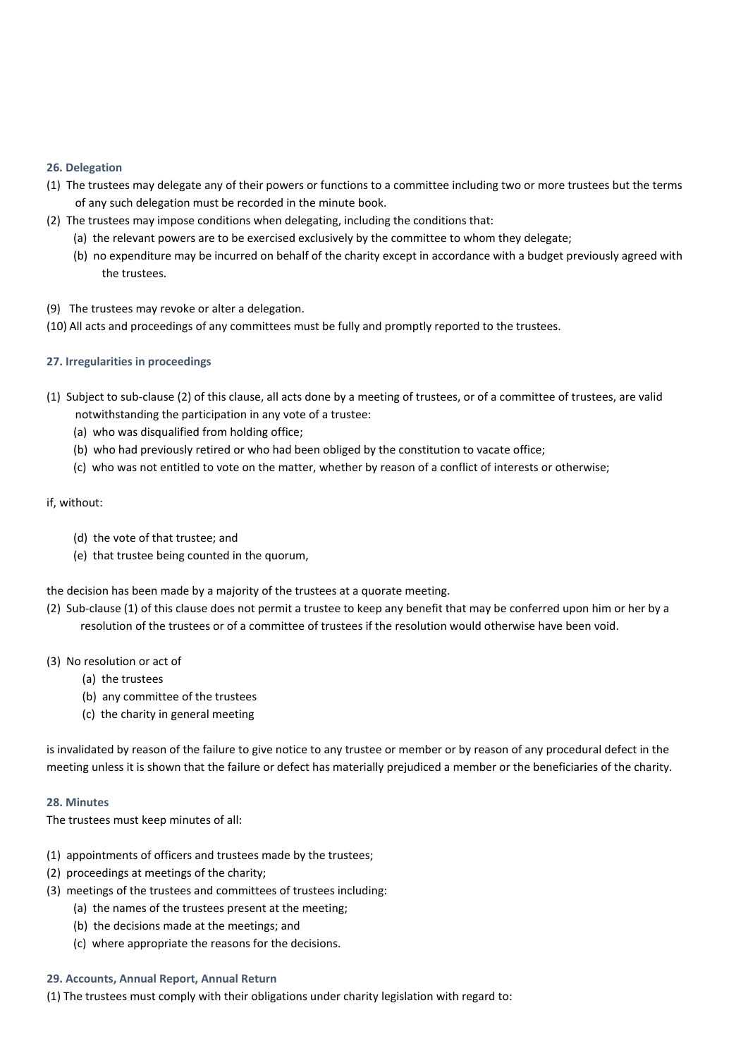## **26. Delegation**

- (1) The trustees may delegate any of their powers or functions to a committee including two or more trustees but the terms of any such delegation must be recorded in the minute book.
- (2) The trustees may impose conditions when delegating, including the conditions that:
	- (a) the relevant powers are to be exercised exclusively by the committee to whom they delegate;
	- (b) no expenditure may be incurred on behalf of the charity except in accordance with a budget previously agreed with the trustees.
- (9) The trustees may revoke or alter a delegation.
- (10) All acts and proceedings of any committees must be fully and promptly reported to the trustees.

## **27. Irregularities in proceedings**

- (1) Subject to sub-clause (2) of this clause, all acts done by a meeting of trustees, or of a committee of trustees, are valid notwithstanding the participation in any vote of a trustee:
	- (a) who was disqualified from holding office;
	- (b) who had previously retired or who had been obliged by the constitution to vacate office;
	- (c) who was not entitled to vote on the matter, whether by reason of a conflict of interests or otherwise;

## if, without:

- (d) the vote of that trustee; and
- (e) that trustee being counted in the quorum,

the decision has been made by a majority of the trustees at a quorate meeting.

- (2) Sub-clause (1) of this clause does not permit a trustee to keep any benefit that may be conferred upon him or her by a resolution of the trustees or of a committee of trustees if the resolution would otherwise have been void.
- (3) No resolution or act of
	- (a) the trustees
	- (b) any committee of the trustees
	- (c) the charity in general meeting

is invalidated by reason of the failure to give notice to any trustee or member or by reason of any procedural defect in the meeting unless it is shown that the failure or defect has materially prejudiced a member or the beneficiaries of the charity.

## **28. Minutes**

The trustees must keep minutes of all:

- (1) appointments of officers and trustees made by the trustees;
- (2) proceedings at meetings of the charity;
- (3) meetings of the trustees and committees of trustees including:
	- (a) the names of the trustees present at the meeting;
	- (b) the decisions made at the meetings; and
	- (c) where appropriate the reasons for the decisions.

## **29. Accounts, Annual Report, Annual Return**

(1) The trustees must comply with their obligations under charity legislation with regard to: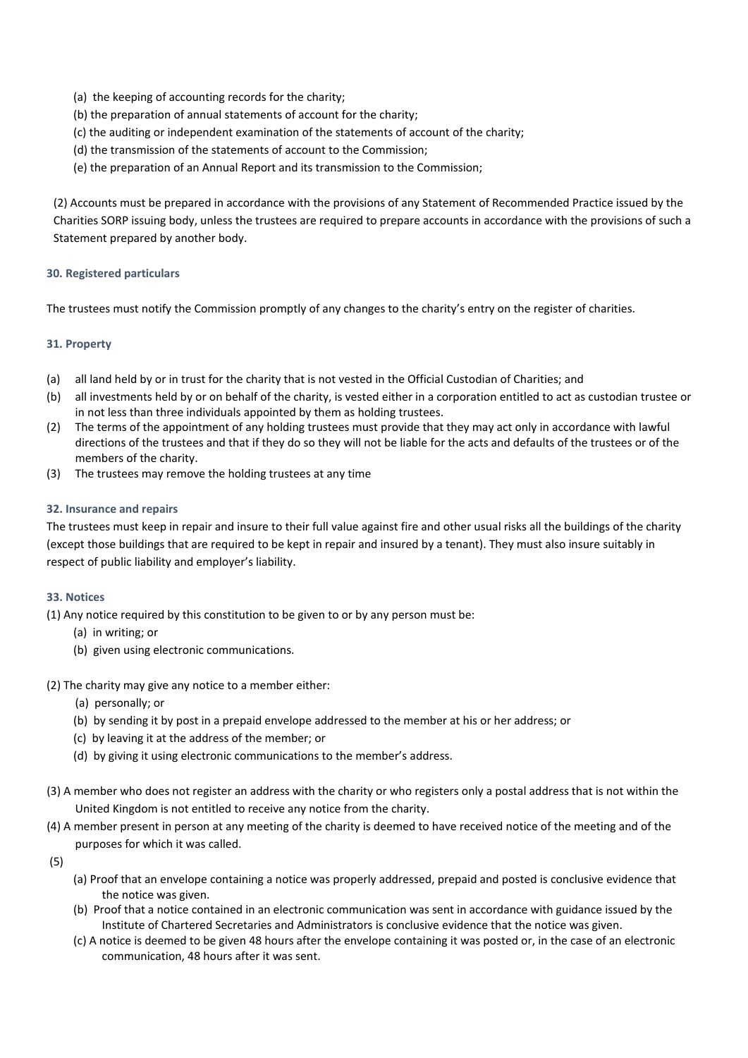- (a) the keeping of accounting records for the charity;
- (b) the preparation of annual statements of account for the charity;
- (c) the auditing or independent examination of the statements of account of the charity;
- (d) the transmission of the statements of account to the Commission;
- (e) the preparation of an Annual Report and its transmission to the Commission;

(2) Accounts must be prepared in accordance with the provisions of any Statement of Recommended Practice issued by the Charities SORP issuing body, unless the trustees are required to prepare accounts in accordance with the provisions of such a Statement prepared by another body.

## **30. Registered particulars**

The trustees must notify the Commission promptly of any changes to the charity's entry on the register of charities.

## **31. Property**

- (a) all land held by or in trust for the charity that is not vested in the Official Custodian of Charities; and
- (b) all investments held by or on behalf of the charity, is vested either in a corporation entitled to act as custodian trustee or in not less than three individuals appointed by them as holding trustees.
- (2) The terms of the appointment of any holding trustees must provide that they may act only in accordance with lawful directions of the trustees and that if they do so they will not be liable for the acts and defaults of the trustees or of the members of the charity.
- (3) The trustees may remove the holding trustees at any time

## **32. Insurance and repairs**

The trustees must keep in repair and insure to their full value against fire and other usual risks all the buildings of the charity (except those buildings that are required to be kept in repair and insured by a tenant). They must also insure suitably in respect of public liability and employer's liability.

## **33. Notices**

(1) Any notice required by this constitution to be given to or by any person must be:

- (a) in writing; or
- (b) given using electronic communications.
- (2) The charity may give any notice to a member either:
	- (a) personally; or
	- (b) by sending it by post in a prepaid envelope addressed to the member at his or her address; or
	- (c) by leaving it at the address of the member; or
	- (d) by giving it using electronic communications to the member's address.
- (3) A member who does not register an address with the charity or who registers only a postal address that is not within the United Kingdom is not entitled to receive any notice from the charity.
- (4) A member present in person at any meeting of the charity is deemed to have received notice of the meeting and of the purposes for which it was called.
- (5)
- (a) Proof that an envelope containing a notice was properly addressed, prepaid and posted is conclusive evidence that the notice was given.
- (b) Proof that a notice contained in an electronic communication was sent in accordance with guidance issued by the Institute of Chartered Secretaries and Administrators is conclusive evidence that the notice was given.
- (c) A notice is deemed to be given 48 hours after the envelope containing it was posted or, in the case of an electronic communication, 48 hours after it was sent.